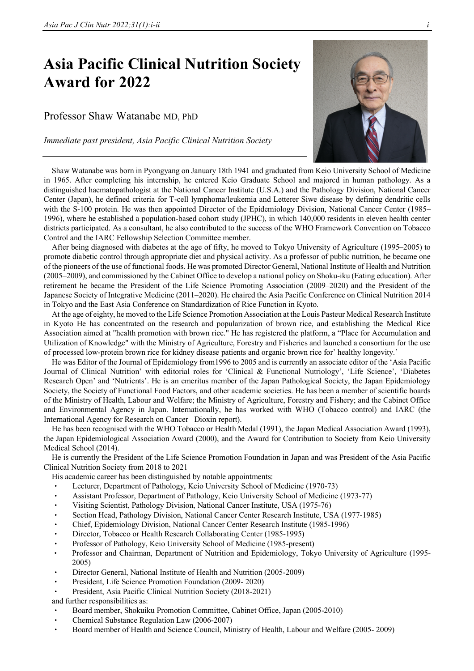## **Asia Pacific Clinical Nutrition Society Award for 2022**

## Professor Shaw Watanabe MD, PhD

*Immediate past president, Asia Pacific Clinical Nutrition Society* 



Shaw Watanabe was born in Pyongyang on January 18th 1941 and graduated from Keio University School of Medicine in 1965. After completing his internship, he entered Keio Graduate School and majored in human pathology. As a distinguished haematopathologist at the National Cancer Institute (U.S.A.) and the Pathology Division, National Cancer Center (Japan), he defined criteria for T-cell lymphoma/leukemia and Letterer Siwe disease by defining dendritic cells with the S-100 protein. He was then appointed Director of the Epidemiology Division, National Cancer Center (1985– 1996), where he established a population-based cohort study (JPHC), in which 140,000 residents in eleven health center districts participated. As a consultant, he also contributed to the success of the WHO Framework Convention on Tobacco Control and the IARC Fellowship Selection Committee member.

After being diagnosed with diabetes at the age of fifty, he moved to Tokyo University of Agriculture (1995–2005) to promote diabetic control through appropriate diet and physical activity. As a professor of public nutrition, he became one of the pioneers of the use of functional foods. He was promoted Director General, National Institute of Health and Nutrition (2005–2009), and commissioned by the Cabinet Office to develop a national policy on Shoku-iku (Eating education). After retirement he became the President of the Life Science Promoting Association (2009–2020) and the President of the Japanese Society of Integrative Medicine (2011–2020). He chaired the Asia Pacific Conference on Clinical Nutrition 2014 in Tokyo and the East Asia Conference on Standardization of Rice Function in Kyoto.

At the age of eighty, he moved to the Life Science Promotion Association at the Louis Pasteur Medical Research Institute in Kyoto He has concentrated on the research and popularization of brown rice, and establishing the Medical Rice Association aimed at "health promotion with brown rice." He has registered the platform, a "Place for Accumulation and Utilization of Knowledge" with the Ministry of Agriculture, Forestry and Fisheries and launched a consortium for the use of processed low-protein brown rice for kidney disease patients and organic brown rice for' healthy longevity.'

He was Editor of the Journal of Epidemiology from1996 to 2005 and is currently an associate editor of the 'Asia Pacific Journal of Clinical Nutrition' with editorial roles for 'Clinical & Functional Nutriology', 'Life Science', 'Diabetes Research Open' and 'Nutrients'. He is an emeritus member of the Japan Pathological Society, the Japan Epidemiology Society, the Society of Functional Food Factors, and other academic societies. He has been a member of scientific boards of the Ministry of Health, Labour and Welfare; the Ministry of Agriculture, Forestry and Fishery; and the Cabinet Office and Environmental Agency in Japan. Internationally, he has worked with WHO (Tobacco control) and IARC (the International Agency for Research on Cancer Dioxin report).

He has been recognised with the WHO Tobacco or Health Medal (1991), the Japan Medical Association Award (1993), the Japan Epidemiological Association Award (2000), and the Award for Contribution to Society from Keio University Medical School (2014).

He is currently the President of the Life Science Promotion Foundation in Japan and was President of the Asia Pacific Clinical Nutrition Society from 2018 to 2021

His academic career has been distinguished by notable appointments:

- Lecturer, Department of Pathology, Keio University School of Medicine (1970-73)
- Assistant Professor, Department of Pathology, Keio University School of Medicine (1973-77)
- Visiting Scientist, Pathology Division, National Cancer Institute, USA (1975-76)
- Section Head, Pathology Division, National Cancer Center Research Institute, USA (1977-1985)
- Chief, Epidemiology Division, National Cancer Center Research Institute (1985-1996)
- Director, Tobacco or Health Research Collaborating Center (1985-1995)
- Professor of Pathology, Keio University School of Medicine (1985-present)
- Professor and Chairman, Department of Nutrition and Epidemiology, Tokyo University of Agriculture (1995- 2005)
- Director General, National Institute of Health and Nutrition (2005-2009)
- President, Life Science Promotion Foundation (2009- 2020)
- President, Asia Pacific Clinical Nutrition Society (2018-2021)

and further responsibilities as:

- Board member, Shokuiku Promotion Committee, Cabinet Office, Japan (2005-2010)
- Chemical Substance Regulation Law (2006-2007)
- Board member of Health and Science Council, Ministry of Health, Labour and Welfare (2005- 2009)